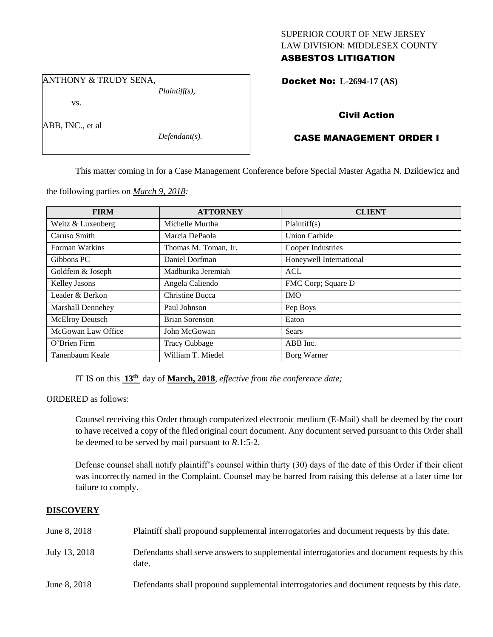## SUPERIOR COURT OF NEW JERSEY LAW DIVISION: MIDDLESEX COUNTY ASBESTOS LITIGATION

Docket No: **L-2694-17 (AS)** 

vs.

ANTHONY & TRUDY SENA,

ABB, INC., et al

*Defendant(s).*

*Plaintiff(s),*

## Civil Action

# CASE MANAGEMENT ORDER I

This matter coming in for a Case Management Conference before Special Master Agatha N. Dzikiewicz and

the following parties on *March 9, 2018:*

| <b>FIRM</b>              | <b>ATTORNEY</b>      | <b>CLIENT</b>           |
|--------------------------|----------------------|-------------------------|
| Weitz & Luxenberg        | Michelle Murtha      | Plaintiff(s)            |
| Caruso Smith             | Marcia DePaola       | <b>Union Carbide</b>    |
| Forman Watkins           | Thomas M. Toman, Jr. | Cooper Industries       |
| Gibbons PC               | Daniel Dorfman       | Honeywell International |
| Goldfein & Joseph        | Madhurika Jeremiah   | <b>ACL</b>              |
| Kelley Jasons            | Angela Caliendo      | FMC Corp; Square D      |
| Leader & Berkon          | Christine Bucca      | <b>IMO</b>              |
| <b>Marshall Dennehey</b> | Paul Johnson         | Pep Boys                |
| McElroy Deutsch          | Brian Sorenson       | Eaton                   |
| McGowan Law Office       | John McGowan         | Sears                   |
| O'Brien Firm             | <b>Tracy Cubbage</b> | ABB Inc.                |
| Tanenbaum Keale          | William T. Miedel    | Borg Warner             |

IT IS on this **13th** day of **March, 2018**, *effective from the conference date;*

ORDERED as follows:

Counsel receiving this Order through computerized electronic medium (E-Mail) shall be deemed by the court to have received a copy of the filed original court document. Any document served pursuant to this Order shall be deemed to be served by mail pursuant to *R*.1:5-2.

Defense counsel shall notify plaintiff's counsel within thirty (30) days of the date of this Order if their client was incorrectly named in the Complaint. Counsel may be barred from raising this defense at a later time for failure to comply.

## **DISCOVERY**

| June 8, 2018  | Plaintiff shall propound supplemental interrogatories and document requests by this date.             |
|---------------|-------------------------------------------------------------------------------------------------------|
| July 13, 2018 | Defendants shall serve answers to supplemental interrogatories and document requests by this<br>date. |
| June 8, 2018  | Defendants shall propound supplemental interrogatories and document requests by this date.            |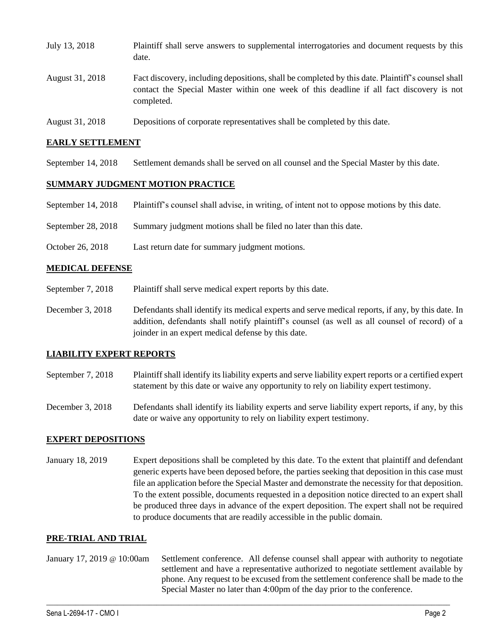| July 13, 2018   | Plaintiff shall serve answers to supplemental interrogatories and document requests by this<br>date.                                                                                                        |
|-----------------|-------------------------------------------------------------------------------------------------------------------------------------------------------------------------------------------------------------|
| August 31, 2018 | Fact discovery, including depositions, shall be completed by this date. Plaintiff's counsel shall<br>contact the Special Master within one week of this deadline if all fact discovery is not<br>completed. |
| August 31, 2018 | Depositions of corporate representatives shall be completed by this date.                                                                                                                                   |

### **EARLY SETTLEMENT**

September 14, 2018 Settlement demands shall be served on all counsel and the Special Master by this date.

### **SUMMARY JUDGMENT MOTION PRACTICE**

- September 14, 2018 Plaintiff's counsel shall advise, in writing, of intent not to oppose motions by this date.
- September 28, 2018 Summary judgment motions shall be filed no later than this date.
- October 26, 2018 Last return date for summary judgment motions.

### **MEDICAL DEFENSE**

- September 7, 2018 Plaintiff shall serve medical expert reports by this date.
- December 3, 2018 Defendants shall identify its medical experts and serve medical reports, if any, by this date. In addition, defendants shall notify plaintiff's counsel (as well as all counsel of record) of a joinder in an expert medical defense by this date.

### **LIABILITY EXPERT REPORTS**

- September 7, 2018 Plaintiff shall identify its liability experts and serve liability expert reports or a certified expert statement by this date or waive any opportunity to rely on liability expert testimony.
- December 3, 2018 Defendants shall identify its liability experts and serve liability expert reports, if any, by this date or waive any opportunity to rely on liability expert testimony.

### **EXPERT DEPOSITIONS**

January 18, 2019 Expert depositions shall be completed by this date. To the extent that plaintiff and defendant generic experts have been deposed before, the parties seeking that deposition in this case must file an application before the Special Master and demonstrate the necessity for that deposition. To the extent possible, documents requested in a deposition notice directed to an expert shall be produced three days in advance of the expert deposition. The expert shall not be required to produce documents that are readily accessible in the public domain.

#### **PRE-TRIAL AND TRIAL**

January 17, 2019 @ 10:00am Settlement conference. All defense counsel shall appear with authority to negotiate settlement and have a representative authorized to negotiate settlement available by phone. Any request to be excused from the settlement conference shall be made to the Special Master no later than 4:00pm of the day prior to the conference.

 $\_$  ,  $\_$  ,  $\_$  ,  $\_$  ,  $\_$  ,  $\_$  ,  $\_$  ,  $\_$  ,  $\_$  ,  $\_$  ,  $\_$  ,  $\_$  ,  $\_$  ,  $\_$  ,  $\_$  ,  $\_$  ,  $\_$  ,  $\_$  ,  $\_$  ,  $\_$  ,  $\_$  ,  $\_$  ,  $\_$  ,  $\_$  ,  $\_$  ,  $\_$  ,  $\_$  ,  $\_$  ,  $\_$  ,  $\_$  ,  $\_$  ,  $\_$  ,  $\_$  ,  $\_$  ,  $\_$  ,  $\_$  ,  $\_$  ,